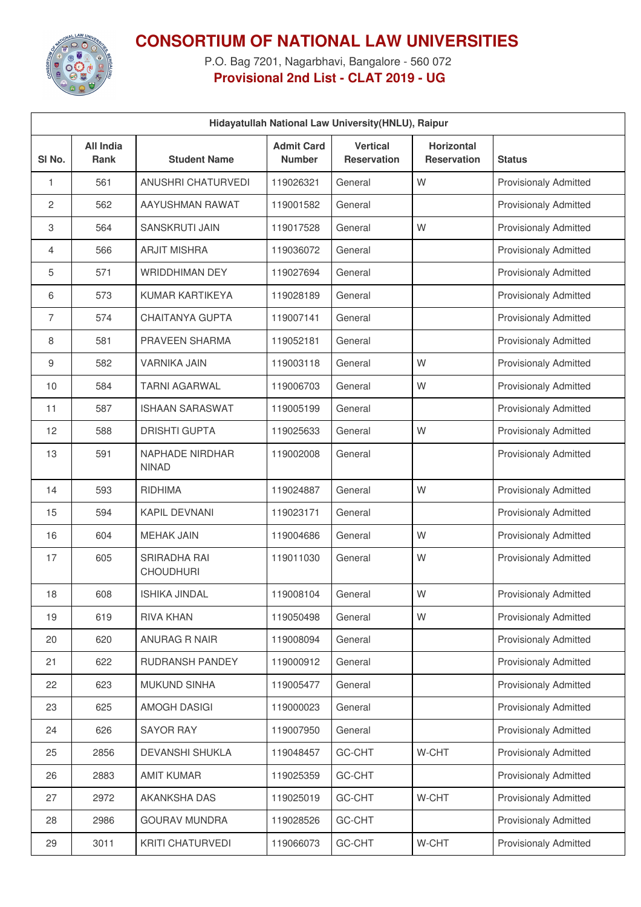

## **CONSORTIUM OF NATIONAL LAW UNIVERSITIES**

P.O. Bag 7201, Nagarbhavi, Bangalore - 560 072 **Provisional 2nd List - CLAT 2019 - UG**

| Hidayatullah National Law University(HNLU), Raipur |                                 |                                        |                                    |                                       |                                         |                              |  |  |
|----------------------------------------------------|---------------------------------|----------------------------------------|------------------------------------|---------------------------------------|-----------------------------------------|------------------------------|--|--|
| SI No.                                             | <b>All India</b><br><b>Rank</b> | <b>Student Name</b>                    | <b>Admit Card</b><br><b>Number</b> | <b>Vertical</b><br><b>Reservation</b> | <b>Horizontal</b><br><b>Reservation</b> | <b>Status</b>                |  |  |
| 1                                                  | 561                             | ANUSHRI CHATURVEDI                     | 119026321                          | General                               | W                                       | <b>Provisionaly Admitted</b> |  |  |
| 2                                                  | 562                             | AAYUSHMAN RAWAT                        | 119001582                          | General                               |                                         | <b>Provisionaly Admitted</b> |  |  |
| 3                                                  | 564                             | SANSKRUTI JAIN                         | 119017528                          | General                               | W                                       | <b>Provisionaly Admitted</b> |  |  |
| 4                                                  | 566                             | <b>ARJIT MISHRA</b>                    | 119036072                          | General                               |                                         | <b>Provisionaly Admitted</b> |  |  |
| 5                                                  | 571                             | <b>WRIDDHIMAN DEY</b>                  | 119027694                          | General                               |                                         | <b>Provisionaly Admitted</b> |  |  |
| 6                                                  | 573                             | KUMAR KARTIKEYA                        | 119028189                          | General                               |                                         | Provisionaly Admitted        |  |  |
| 7                                                  | 574                             | <b>CHAITANYA GUPTA</b>                 | 119007141                          | General                               |                                         | <b>Provisionaly Admitted</b> |  |  |
| 8                                                  | 581                             | PRAVEEN SHARMA                         | 119052181                          | General                               |                                         | <b>Provisionaly Admitted</b> |  |  |
| 9                                                  | 582                             | <b>VARNIKA JAIN</b>                    | 119003118                          | General                               | W                                       | <b>Provisionaly Admitted</b> |  |  |
| 10                                                 | 584                             | <b>TARNI AGARWAL</b>                   | 119006703                          | General                               | W                                       | Provisionaly Admitted        |  |  |
| 11                                                 | 587                             | <b>ISHAAN SARASWAT</b>                 | 119005199                          | General                               |                                         | <b>Provisionaly Admitted</b> |  |  |
| 12                                                 | 588                             | <b>DRISHTI GUPTA</b>                   | 119025633                          | General                               | W                                       | <b>Provisionaly Admitted</b> |  |  |
| 13                                                 | 591                             | <b>NAPHADE NIRDHAR</b><br><b>NINAD</b> | 119002008                          | General                               |                                         | <b>Provisionaly Admitted</b> |  |  |
| 14                                                 | 593                             | <b>RIDHIMA</b>                         | 119024887                          | General                               | W                                       | <b>Provisionaly Admitted</b> |  |  |
| 15                                                 | 594                             | <b>KAPIL DEVNANI</b>                   | 119023171                          | General                               |                                         | <b>Provisionaly Admitted</b> |  |  |
| 16                                                 | 604                             | <b>MEHAK JAIN</b>                      | 119004686                          | General                               | W                                       | <b>Provisionaly Admitted</b> |  |  |
| 17                                                 | 605                             | SRIRADHA RAI<br><b>CHOUDHURI</b>       | 119011030                          | General                               | W                                       | <b>Provisionaly Admitted</b> |  |  |
| 18                                                 | 608                             | <b>ISHIKA JINDAL</b>                   | 119008104                          | General                               | W                                       | <b>Provisionaly Admitted</b> |  |  |
| 19                                                 | 619                             | RIVA KHAN                              | 119050498                          | General                               | W                                       | <b>Provisionaly Admitted</b> |  |  |
| 20                                                 | 620                             | ANURAG R NAIR                          | 119008094                          | General                               |                                         | <b>Provisionaly Admitted</b> |  |  |
| 21                                                 | 622                             | RUDRANSH PANDEY                        | 119000912                          | General                               |                                         | <b>Provisionaly Admitted</b> |  |  |
| 22                                                 | 623                             | <b>MUKUND SINHA</b>                    | 119005477                          | General                               |                                         | <b>Provisionaly Admitted</b> |  |  |
| 23                                                 | 625                             | <b>AMOGH DASIGI</b>                    | 119000023                          | General                               |                                         | <b>Provisionaly Admitted</b> |  |  |
| 24                                                 | 626                             | <b>SAYOR RAY</b>                       | 119007950                          | General                               |                                         | <b>Provisionaly Admitted</b> |  |  |
| 25                                                 | 2856                            | DEVANSHI SHUKLA                        | 119048457                          | GC-CHT                                | W-CHT                                   | <b>Provisionaly Admitted</b> |  |  |
| 26                                                 | 2883                            | <b>AMIT KUMAR</b>                      | 119025359                          | GC-CHT                                |                                         | <b>Provisionaly Admitted</b> |  |  |
| 27                                                 | 2972                            | AKANKSHA DAS                           | 119025019                          | GC-CHT                                | W-CHT                                   | <b>Provisionaly Admitted</b> |  |  |
| 28                                                 | 2986                            | <b>GOURAV MUNDRA</b>                   | 119028526                          | GC-CHT                                |                                         | <b>Provisionaly Admitted</b> |  |  |
| 29                                                 | 3011                            | KRITI CHATURVEDI                       | 119066073                          | GC-CHT                                | W-CHT                                   | <b>Provisionaly Admitted</b> |  |  |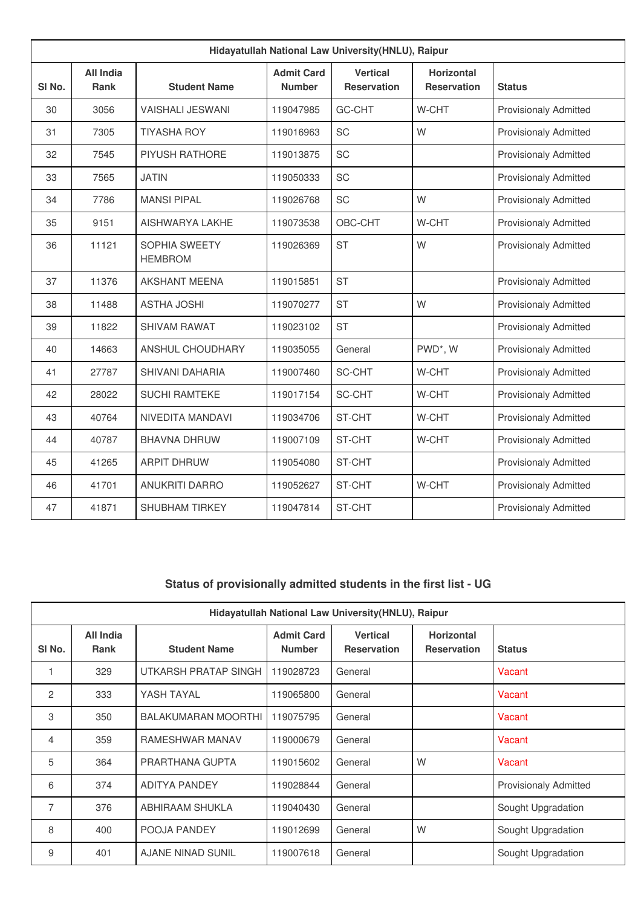| Hidayatullah National Law University(HNLU), Raipur |                                 |                                        |                                    |                                       |                                         |                              |  |  |
|----------------------------------------------------|---------------------------------|----------------------------------------|------------------------------------|---------------------------------------|-----------------------------------------|------------------------------|--|--|
| SI <sub>No.</sub>                                  | <b>All India</b><br><b>Rank</b> | <b>Student Name</b>                    | <b>Admit Card</b><br><b>Number</b> | <b>Vertical</b><br><b>Reservation</b> | <b>Horizontal</b><br><b>Reservation</b> | <b>Status</b>                |  |  |
| 30                                                 | 3056                            | <b>VAISHALI JESWANI</b>                | 119047985                          | GC-CHT                                | W-CHT                                   | <b>Provisionaly Admitted</b> |  |  |
| 31                                                 | 7305                            | <b>TIYASHA ROY</b>                     | 119016963                          | <b>SC</b>                             | W                                       | <b>Provisionaly Admitted</b> |  |  |
| 32                                                 | 7545                            | PIYUSH RATHORE                         | 119013875                          | <b>SC</b>                             |                                         | <b>Provisionaly Admitted</b> |  |  |
| 33                                                 | 7565                            | <b>JATIN</b>                           | 119050333                          | <b>SC</b>                             |                                         | <b>Provisionaly Admitted</b> |  |  |
| 34                                                 | 7786                            | <b>MANSI PIPAL</b>                     | 119026768                          | SC                                    | W                                       | <b>Provisionaly Admitted</b> |  |  |
| 35                                                 | 9151                            | AISHWARYA LAKHE                        | 119073538                          | OBC-CHT                               | W-CHT                                   | <b>Provisionaly Admitted</b> |  |  |
| 36                                                 | 11121                           | <b>SOPHIA SWEETY</b><br><b>HEMBROM</b> | 119026369                          | <b>ST</b>                             | W                                       | <b>Provisionaly Admitted</b> |  |  |
| 37                                                 | 11376                           | <b>AKSHANT MEENA</b>                   | 119015851                          | <b>ST</b>                             |                                         | <b>Provisionaly Admitted</b> |  |  |
| 38                                                 | 11488                           | <b>ASTHA JOSHI</b>                     | 119070277                          | <b>ST</b>                             | W                                       | <b>Provisionaly Admitted</b> |  |  |
| 39                                                 | 11822                           | <b>SHIVAM RAWAT</b>                    | 119023102                          | <b>ST</b>                             |                                         | <b>Provisionaly Admitted</b> |  |  |
| 40                                                 | 14663                           | <b>ANSHUL CHOUDHARY</b>                | 119035055                          | General                               | PWD*, W                                 | <b>Provisionaly Admitted</b> |  |  |
| 41                                                 | 27787                           | <b>SHIVANI DAHARIA</b>                 | 119007460                          | SC-CHT                                | W-CHT                                   | <b>Provisionaly Admitted</b> |  |  |
| 42                                                 | 28022                           | <b>SUCHI RAMTEKE</b>                   | 119017154                          | <b>SC-CHT</b>                         | W-CHT                                   | <b>Provisionaly Admitted</b> |  |  |
| 43                                                 | 40764                           | NIVEDITA MANDAVI                       | 119034706                          | ST-CHT                                | W-CHT                                   | <b>Provisionaly Admitted</b> |  |  |
| 44                                                 | 40787                           | <b>BHAVNA DHRUW</b>                    | 119007109                          | ST-CHT                                | W-CHT                                   | <b>Provisionaly Admitted</b> |  |  |
| 45                                                 | 41265                           | <b>ARPIT DHRUW</b>                     | 119054080                          | ST-CHT                                |                                         | <b>Provisionaly Admitted</b> |  |  |
| 46                                                 | 41701                           | <b>ANUKRITI DARRO</b>                  | 119052627                          | ST-CHT                                | W-CHT                                   | <b>Provisionaly Admitted</b> |  |  |
| 47                                                 | 41871                           | <b>SHUBHAM TIRKEY</b>                  | 119047814                          | ST-CHT                                |                                         | <b>Provisionaly Admitted</b> |  |  |

## **Status of provisionally admitted students in the first list - UG**

| Hidayatullah National Law University (HNLU), Raipur |                                 |                            |                                    |                                       |                                         |                              |  |  |
|-----------------------------------------------------|---------------------------------|----------------------------|------------------------------------|---------------------------------------|-----------------------------------------|------------------------------|--|--|
| SI No.                                              | <b>All India</b><br><b>Rank</b> | <b>Student Name</b>        | <b>Admit Card</b><br><b>Number</b> | <b>Vertical</b><br><b>Reservation</b> | <b>Horizontal</b><br><b>Reservation</b> | <b>Status</b>                |  |  |
|                                                     | 329                             | UTKARSH PRATAP SINGH       | 119028723                          | General                               |                                         | Vacant                       |  |  |
| 2                                                   | 333                             | YASH TAYAL                 | 119065800                          | General                               |                                         | Vacant                       |  |  |
| 3                                                   | 350                             | <b>BALAKUMARAN MOORTHI</b> | 119075795                          | General                               |                                         | Vacant                       |  |  |
| 4                                                   | 359                             | RAMESHWAR MANAV            | 119000679                          | General                               |                                         | Vacant                       |  |  |
| 5                                                   | 364                             | PRARTHANA GUPTA            | 119015602                          | General                               | W                                       | Vacant                       |  |  |
| 6                                                   | 374                             | <b>ADITYA PANDEY</b>       | 119028844                          | General                               |                                         | <b>Provisionaly Admitted</b> |  |  |
| $\overline{7}$                                      | 376                             | ABHIRAAM SHUKLA            | 119040430                          | General                               |                                         | Sought Upgradation           |  |  |
| 8                                                   | 400                             | POOJA PANDEY               | 119012699                          | General                               | W                                       | Sought Upgradation           |  |  |
| 9                                                   | 401                             | <b>AJANE NINAD SUNIL</b>   | 119007618                          | General                               |                                         | Sought Upgradation           |  |  |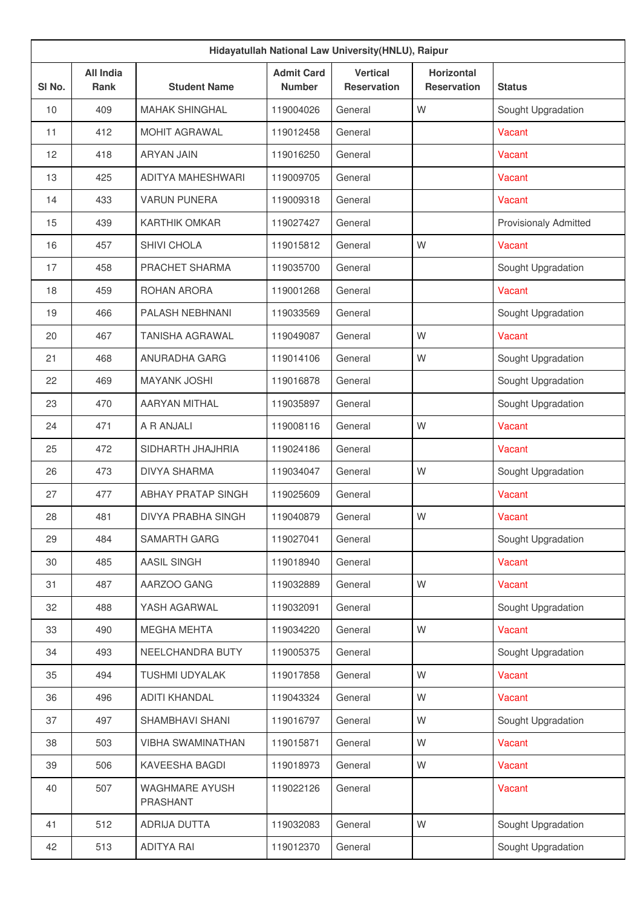| Hidayatullah National Law University(HNLU), Raipur |                                 |                            |                                    |                                       |                                         |                              |  |  |
|----------------------------------------------------|---------------------------------|----------------------------|------------------------------------|---------------------------------------|-----------------------------------------|------------------------------|--|--|
| SI No.                                             | <b>All India</b><br><b>Rank</b> | <b>Student Name</b>        | <b>Admit Card</b><br><b>Number</b> | <b>Vertical</b><br><b>Reservation</b> | <b>Horizontal</b><br><b>Reservation</b> | <b>Status</b>                |  |  |
| 10                                                 | 409                             | <b>MAHAK SHINGHAL</b>      | 119004026                          | General                               | W                                       | Sought Upgradation           |  |  |
| 11                                                 | 412                             | <b>MOHIT AGRAWAL</b>       | 119012458                          | General                               |                                         | Vacant                       |  |  |
| 12                                                 | 418                             | <b>ARYAN JAIN</b>          | 119016250                          | General                               |                                         | Vacant                       |  |  |
| 13                                                 | 425                             | ADITYA MAHESHWARI          | 119009705                          | General                               |                                         | Vacant                       |  |  |
| 14                                                 | 433                             | <b>VARUN PUNERA</b>        | 119009318                          | General                               |                                         | Vacant                       |  |  |
| 15                                                 | 439                             | <b>KARTHIK OMKAR</b>       | 119027427                          | General                               |                                         | <b>Provisionaly Admitted</b> |  |  |
| 16                                                 | 457                             | SHIVI CHOLA                | 119015812                          | General                               | W                                       | Vacant                       |  |  |
| 17                                                 | 458                             | PRACHET SHARMA             | 119035700                          | General                               |                                         | Sought Upgradation           |  |  |
| 18                                                 | 459                             | ROHAN ARORA                | 119001268                          | General                               |                                         | Vacant                       |  |  |
| 19                                                 | 466                             | PALASH NEBHNANI            | 119033569                          | General                               |                                         | Sought Upgradation           |  |  |
| 20                                                 | 467                             | <b>TANISHA AGRAWAL</b>     | 119049087                          | General                               | W                                       | Vacant                       |  |  |
| 21                                                 | 468                             | <b>ANURADHA GARG</b>       | 119014106                          | General                               | W                                       | Sought Upgradation           |  |  |
| 22                                                 | 469                             | <b>MAYANK JOSHI</b>        | 119016878                          | General                               |                                         | Sought Upgradation           |  |  |
| 23                                                 | 470                             | AARYAN MITHAL              | 119035897                          | General                               |                                         | Sought Upgradation           |  |  |
| 24                                                 | 471                             | A R ANJALI                 | 119008116                          | General                               | W                                       | Vacant                       |  |  |
| 25                                                 | 472                             | SIDHARTH JHAJHRIA          | 119024186                          | General                               |                                         | Vacant                       |  |  |
| 26                                                 | 473                             | <b>DIVYA SHARMA</b>        | 119034047                          | General                               | W                                       | Sought Upgradation           |  |  |
| 27                                                 | 477                             | <b>ABHAY PRATAP SINGH</b>  | 119025609                          | General                               |                                         | Vacant                       |  |  |
| 28                                                 | 481                             | <b>DIVYA PRABHA SINGH</b>  | 119040879                          | General                               | W                                       | Vacant                       |  |  |
| 29                                                 | 484                             | <b>SAMARTH GARG</b>        | 119027041                          | General                               |                                         | Sought Upgradation           |  |  |
| 30                                                 | 485                             | AASIL SINGH                | 119018940                          | General                               |                                         | Vacant                       |  |  |
| 31                                                 | 487                             | AARZOO GANG                | 119032889                          | General                               | W                                       | Vacant                       |  |  |
| 32                                                 | 488                             | YASH AGARWAL               | 119032091                          | General                               |                                         | Sought Upgradation           |  |  |
| 33                                                 | 490                             | <b>MEGHA MEHTA</b>         | 119034220                          | General                               | W                                       | Vacant                       |  |  |
| 34                                                 | 493                             | NEELCHANDRA BUTY           | 119005375                          | General                               |                                         | Sought Upgradation           |  |  |
| 35                                                 | 494                             | TUSHMI UDYALAK             | 119017858                          | General                               | W                                       | Vacant                       |  |  |
| 36                                                 | 496                             | <b>ADITI KHANDAL</b>       | 119043324                          | General                               | W                                       | Vacant                       |  |  |
| 37                                                 | 497                             | SHAMBHAVI SHANI            | 119016797                          | General                               | W                                       | Sought Upgradation           |  |  |
| 38                                                 | 503                             | <b>VIBHA SWAMINATHAN</b>   | 119015871                          | General                               | W                                       | Vacant                       |  |  |
| 39                                                 | 506                             | KAVEESHA BAGDI             | 119018973                          | General                               | W                                       | Vacant                       |  |  |
| 40                                                 | 507                             | WAGHMARE AYUSH<br>PRASHANT | 119022126                          | General                               |                                         | Vacant                       |  |  |
| 41                                                 | 512                             | ADRIJA DUTTA               | 119032083                          | General                               | W                                       | Sought Upgradation           |  |  |
| 42                                                 | 513                             | <b>ADITYA RAI</b>          | 119012370                          | General                               |                                         | Sought Upgradation           |  |  |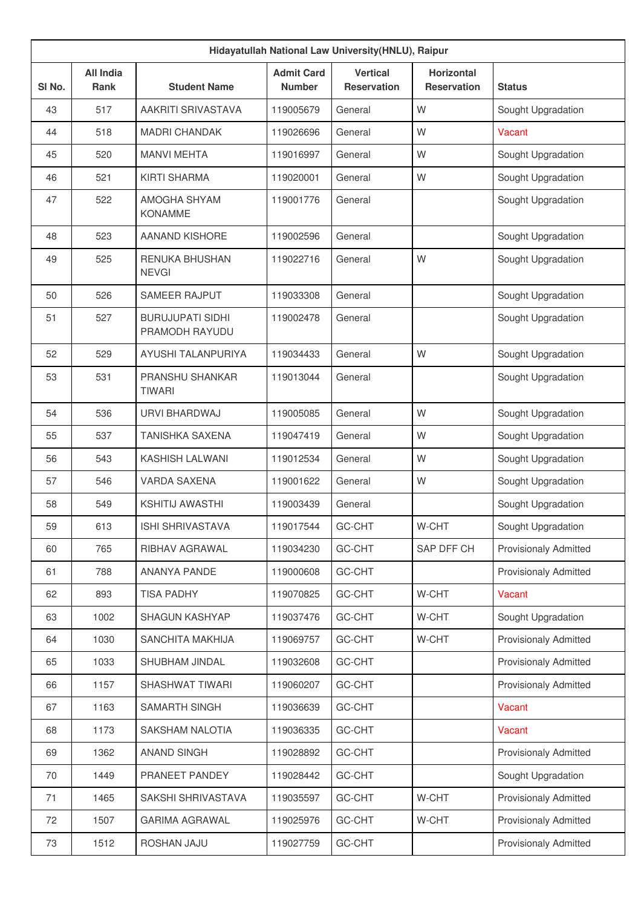| Hidayatullah National Law University(HNLU), Raipur |                                 |                                           |                                    |                                       |                                         |                              |  |  |
|----------------------------------------------------|---------------------------------|-------------------------------------------|------------------------------------|---------------------------------------|-----------------------------------------|------------------------------|--|--|
| SI No.                                             | <b>All India</b><br><b>Rank</b> | <b>Student Name</b>                       | <b>Admit Card</b><br><b>Number</b> | <b>Vertical</b><br><b>Reservation</b> | <b>Horizontal</b><br><b>Reservation</b> | <b>Status</b>                |  |  |
| 43                                                 | 517                             | AAKRITI SRIVASTAVA                        | 119005679                          | General                               | W                                       | Sought Upgradation           |  |  |
| 44                                                 | 518                             | <b>MADRI CHANDAK</b>                      | 119026696                          | General                               | W                                       | Vacant                       |  |  |
| 45                                                 | 520                             | <b>MANVI MEHTA</b>                        | 119016997                          | General                               | W                                       | Sought Upgradation           |  |  |
| 46                                                 | 521                             | KIRTI SHARMA                              | 119020001                          | General                               | W                                       | Sought Upgradation           |  |  |
| 47                                                 | 522                             | AMOGHA SHYAM<br><b>KONAMME</b>            | 119001776                          | General                               |                                         | Sought Upgradation           |  |  |
| 48                                                 | 523                             | AANAND KISHORE                            | 119002596                          | General                               |                                         | Sought Upgradation           |  |  |
| 49                                                 | 525                             | <b>RENUKA BHUSHAN</b><br><b>NEVGI</b>     | 119022716                          | General                               | W                                       | Sought Upgradation           |  |  |
| 50                                                 | 526                             | <b>SAMEER RAJPUT</b>                      | 119033308                          | General                               |                                         | Sought Upgradation           |  |  |
| 51                                                 | 527                             | <b>BURUJUPATI SIDHI</b><br>PRAMODH RAYUDU | 119002478                          | General                               |                                         | Sought Upgradation           |  |  |
| 52                                                 | 529                             | AYUSHI TALANPURIYA                        | 119034433                          | General                               | W                                       | Sought Upgradation           |  |  |
| 53                                                 | 531                             | <b>PRANSHU SHANKAR</b><br><b>TIWARI</b>   | 119013044                          | General                               |                                         | Sought Upgradation           |  |  |
| 54                                                 | 536                             | URVI BHARDWAJ                             | 119005085                          | General                               | W                                       | Sought Upgradation           |  |  |
| 55                                                 | 537                             | <b>TANISHKA SAXENA</b>                    | 119047419                          | General                               | W                                       | Sought Upgradation           |  |  |
| 56                                                 | 543                             | <b>KASHISH LALWANI</b>                    | 119012534                          | General                               | W                                       | Sought Upgradation           |  |  |
| 57                                                 | 546                             | <b>VARDA SAXENA</b>                       | 119001622                          | General                               | W                                       | Sought Upgradation           |  |  |
| 58                                                 | 549                             | <b>KSHITIJ AWASTHI</b>                    | 119003439                          | General                               |                                         | Sought Upgradation           |  |  |
| 59                                                 | 613                             | ISHI SHRIVASTAVA                          | 119017544                          | GC-CHT                                | W-CHT                                   | Sought Upgradation           |  |  |
| 60                                                 | 765                             | RIBHAV AGRAWAL                            | 119034230                          | GC-CHT                                | SAP DFF CH                              | <b>Provisionaly Admitted</b> |  |  |
| 61                                                 | 788                             | ANANYA PANDE                              | 119000608                          | GC-CHT                                |                                         | <b>Provisionaly Admitted</b> |  |  |
| 62                                                 | 893                             | <b>TISA PADHY</b>                         | 119070825                          | GC-CHT                                | W-CHT                                   | Vacant                       |  |  |
| 63                                                 | 1002                            | SHAGUN KASHYAP                            | 119037476                          | GC-CHT                                | W-CHT                                   | Sought Upgradation           |  |  |
| 64                                                 | 1030                            | SANCHITA MAKHIJA                          | 119069757                          | GC-CHT                                | W-CHT                                   | <b>Provisionaly Admitted</b> |  |  |
| 65                                                 | 1033                            | SHUBHAM JINDAL                            | 119032608                          | GC-CHT                                |                                         | <b>Provisionaly Admitted</b> |  |  |
| 66                                                 | 1157                            | SHASHWAT TIWARI                           | 119060207                          | GC-CHT                                |                                         | <b>Provisionaly Admitted</b> |  |  |
| 67                                                 | 1163                            | SAMARTH SINGH                             | 119036639                          | GC-CHT                                |                                         | Vacant                       |  |  |
| 68                                                 | 1173                            | SAKSHAM NALOTIA                           | 119036335                          | GC-CHT                                |                                         | Vacant                       |  |  |
| 69                                                 | 1362                            | <b>ANAND SINGH</b>                        | 119028892                          | GC-CHT                                |                                         | Provisionaly Admitted        |  |  |
| 70                                                 | 1449                            | PRANEET PANDEY                            | 119028442                          | GC-CHT                                |                                         | Sought Upgradation           |  |  |
| 71                                                 | 1465                            | SAKSHI SHRIVASTAVA                        | 119035597                          | GC-CHT                                | W-CHT                                   | <b>Provisionaly Admitted</b> |  |  |
| 72                                                 | 1507                            | <b>GARIMA AGRAWAL</b>                     | 119025976                          | GC-CHT                                | W-CHT                                   | Provisionaly Admitted        |  |  |
| 73                                                 | 1512                            | ROSHAN JAJU                               | 119027759                          | GC-CHT                                |                                         | Provisionaly Admitted        |  |  |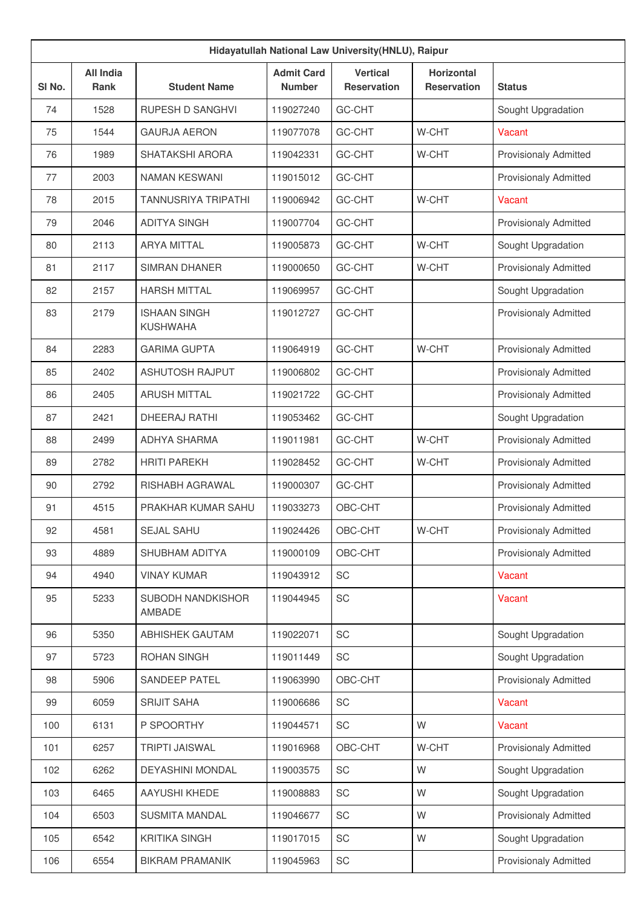| SI <sub>No.</sub> | <b>All India</b><br><b>Rank</b> | <b>Student Name</b>                    | <b>Admit Card</b><br><b>Number</b> | <b>Vertical</b><br><b>Reservation</b> | <b>Horizontal</b><br><b>Reservation</b> | <b>Status</b>                |
|-------------------|---------------------------------|----------------------------------------|------------------------------------|---------------------------------------|-----------------------------------------|------------------------------|
| 74                | 1528                            | RUPESH D SANGHVI                       | 119027240                          | GC-CHT                                |                                         | Sought Upgradation           |
| 75                | 1544                            | <b>GAURJA AERON</b>                    | 119077078                          | GC-CHT                                | W-CHT                                   | Vacant                       |
| 76                | 1989                            | <b>SHATAKSHI ARORA</b>                 | 119042331                          | GC-CHT                                | W-CHT                                   | <b>Provisionaly Admitted</b> |
| 77                | 2003                            | NAMAN KESWANI                          | 119015012                          | GC-CHT                                |                                         | <b>Provisionaly Admitted</b> |
| 78                | 2015                            | <b>TANNUSRIYA TRIPATHI</b>             | 119006942                          | GC-CHT                                | W-CHT                                   | Vacant                       |
| 79                | 2046                            | <b>ADITYA SINGH</b>                    | 119007704                          | GC-CHT                                |                                         | <b>Provisionaly Admitted</b> |
| 80                | 2113                            | <b>ARYA MITTAL</b>                     | 119005873                          | GC-CHT                                | W-CHT                                   | Sought Upgradation           |
| 81                | 2117                            | <b>SIMRAN DHANER</b>                   | 119000650                          | GC-CHT                                | W-CHT                                   | <b>Provisionaly Admitted</b> |
| 82                | 2157                            | <b>HARSH MITTAL</b>                    | 119069957                          | GC-CHT                                |                                         | Sought Upgradation           |
| 83                | 2179                            | <b>ISHAAN SINGH</b><br><b>KUSHWAHA</b> | 119012727                          | GC-CHT                                |                                         | <b>Provisionaly Admitted</b> |
| 84                | 2283                            | <b>GARIMA GUPTA</b>                    | 119064919                          | GC-CHT                                | W-CHT                                   | <b>Provisionaly Admitted</b> |
| 85                | 2402                            | <b>ASHUTOSH RAJPUT</b>                 | 119006802                          | GC-CHT                                |                                         | <b>Provisionaly Admitted</b> |
| 86                | 2405                            | <b>ARUSH MITTAL</b>                    | 119021722                          | GC-CHT                                |                                         | <b>Provisionaly Admitted</b> |
| 87                | 2421                            | <b>DHEERAJ RATHI</b>                   | 119053462                          | GC-CHT                                |                                         | Sought Upgradation           |
| 88                | 2499                            | ADHYA SHARMA                           | 119011981                          | GC-CHT                                | W-CHT                                   | <b>Provisionaly Admitted</b> |
| 89                | 2782                            | <b>HRITI PAREKH</b>                    | 119028452                          | GC-CHT                                | W-CHT                                   | <b>Provisionaly Admitted</b> |
| 90                | 2792                            | RISHABH AGRAWAL                        | 119000307                          | GC-CHT                                |                                         | <b>Provisionaly Admitted</b> |
| 91                | 4515                            | PRAKHAR KUMAR SAHU                     | 119033273                          | OBC-CHT                               |                                         | <b>Provisionaly Admitted</b> |
| 92                | 4581                            | SEJAL SAHU                             | 119024426                          | OBC-CHT                               | W-CHT                                   | <b>Provisionaly Admitted</b> |
| 93                | 4889                            | SHUBHAM ADITYA                         | 119000109                          | OBC-CHT                               |                                         | <b>Provisionaly Admitted</b> |
| 94                | 4940                            | <b>VINAY KUMAR</b>                     | 119043912                          | SC                                    |                                         | Vacant                       |
| 95                | 5233                            | SUBODH NANDKISHOR<br>AMBADE            | 119044945                          | SC                                    |                                         | Vacant                       |
| 96                | 5350                            | <b>ABHISHEK GAUTAM</b>                 | 119022071                          | SC                                    |                                         | Sought Upgradation           |
| 97                | 5723                            | <b>ROHAN SINGH</b>                     | 119011449                          | SC                                    |                                         | Sought Upgradation           |
| 98                | 5906                            | SANDEEP PATEL                          | 119063990                          | OBC-CHT                               |                                         | <b>Provisionaly Admitted</b> |
| 99                | 6059                            | <b>SRIJIT SAHA</b>                     | 119006686                          | SC                                    |                                         | Vacant                       |
| 100               | 6131                            | P SPOORTHY                             | 119044571                          | SC                                    | W                                       | Vacant                       |
| 101               | 6257                            | <b>TRIPTI JAISWAL</b>                  | 119016968                          | OBC-CHT                               | W-CHT                                   | Provisionaly Admitted        |
| 102               | 6262                            | DEYASHINI MONDAL                       | 119003575                          | SC                                    | W                                       | Sought Upgradation           |
| 103               | 6465                            | AAYUSHI KHEDE                          | 119008883                          | SC                                    | W                                       | Sought Upgradation           |
| 104               | 6503                            | <b>SUSMITA MANDAL</b>                  | 119046677                          | SC                                    | W                                       | Provisionaly Admitted        |
| 105               | 6542                            | <b>KRITIKA SINGH</b>                   | 119017015                          | SC                                    | W                                       | Sought Upgradation           |
| 106               | 6554                            | <b>BIKRAM PRAMANIK</b>                 | 119045963                          | SC                                    |                                         | <b>Provisionaly Admitted</b> |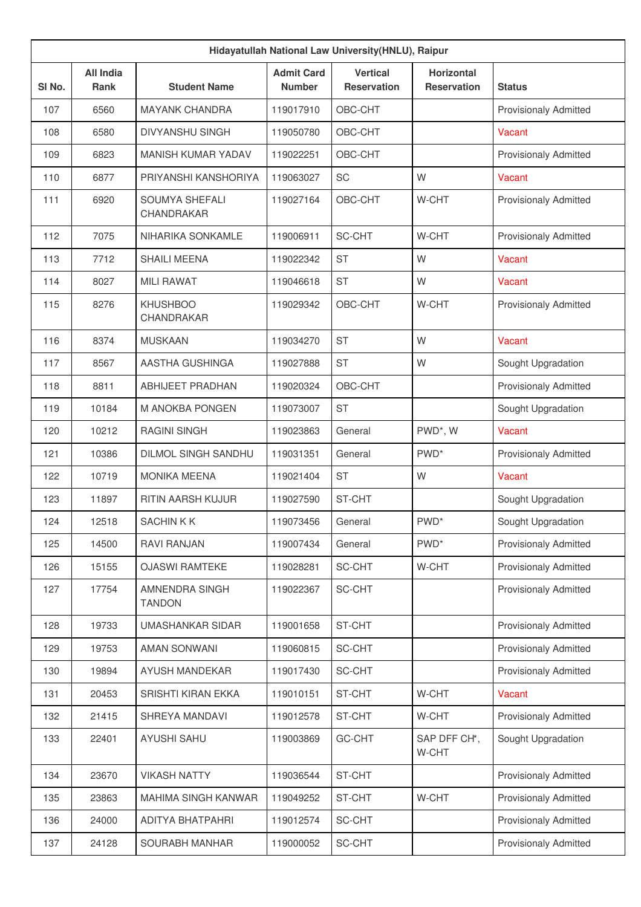| Hidayatullah National Law University(HNLU), Raipur |                          |                                      |                                    |                                       |                                         |                              |  |  |
|----------------------------------------------------|--------------------------|--------------------------------------|------------------------------------|---------------------------------------|-----------------------------------------|------------------------------|--|--|
| SI No.                                             | <b>All India</b><br>Rank | <b>Student Name</b>                  | <b>Admit Card</b><br><b>Number</b> | <b>Vertical</b><br><b>Reservation</b> | <b>Horizontal</b><br><b>Reservation</b> | <b>Status</b>                |  |  |
| 107                                                | 6560                     | <b>MAYANK CHANDRA</b>                | 119017910                          | OBC-CHT                               |                                         | <b>Provisionaly Admitted</b> |  |  |
| 108                                                | 6580                     | <b>DIVYANSHU SINGH</b>               | 119050780                          | OBC-CHT                               |                                         | Vacant                       |  |  |
| 109                                                | 6823                     | MANISH KUMAR YADAV                   | 119022251                          | OBC-CHT                               |                                         | <b>Provisionaly Admitted</b> |  |  |
| 110                                                | 6877                     | PRIYANSHI KANSHORIYA                 | 119063027                          | SC                                    | W                                       | Vacant                       |  |  |
| 111                                                | 6920                     | <b>SOUMYA SHEFALI</b><br>CHANDRAKAR  | 119027164                          | OBC-CHT                               | W-CHT                                   | <b>Provisionaly Admitted</b> |  |  |
| 112                                                | 7075                     | NIHARIKA SONKAMLE                    | 119006911                          | SC-CHT                                | W-CHT                                   | <b>Provisionaly Admitted</b> |  |  |
| 113                                                | 7712                     | <b>SHAILI MEENA</b>                  | 119022342                          | <b>ST</b>                             | W                                       | Vacant                       |  |  |
| 114                                                | 8027                     | <b>MILI RAWAT</b>                    | 119046618                          | <b>ST</b>                             | W                                       | <b>Vacant</b>                |  |  |
| 115                                                | 8276                     | <b>KHUSHBOO</b><br><b>CHANDRAKAR</b> | 119029342                          | OBC-CHT                               | W-CHT                                   | <b>Provisionaly Admitted</b> |  |  |
| 116                                                | 8374                     | <b>MUSKAAN</b>                       | 119034270                          | <b>ST</b>                             | W                                       | Vacant                       |  |  |
| 117                                                | 8567                     | AASTHA GUSHINGA                      | 119027888                          | <b>ST</b>                             | W                                       | Sought Upgradation           |  |  |
| 118                                                | 8811                     | <b>ABHIJEET PRADHAN</b>              | 119020324                          | OBC-CHT                               |                                         | <b>Provisionaly Admitted</b> |  |  |
| 119                                                | 10184                    | M ANOKBA PONGEN                      | 119073007                          | <b>ST</b>                             |                                         | Sought Upgradation           |  |  |
| 120                                                | 10212                    | <b>RAGINI SINGH</b>                  | 119023863                          | General                               | PWD*, W                                 | Vacant                       |  |  |
| 121                                                | 10386                    | <b>DILMOL SINGH SANDHU</b>           | 119031351                          | General                               | PWD <sup>*</sup>                        | <b>Provisionaly Admitted</b> |  |  |
| 122                                                | 10719                    | <b>MONIKA MEENA</b>                  | 119021404                          | <b>ST</b>                             | W                                       | Vacant                       |  |  |
| 123                                                | 11897                    | RITIN AARSH KUJUR                    | 119027590                          | ST-CHT                                |                                         | Sought Upgradation           |  |  |
| 124                                                | 12518                    | SACHIN K K                           | 119073456                          | General                               | PWD <sup>*</sup>                        | Sought Upgradation           |  |  |
| 125                                                | 14500                    | <b>RAVI RANJAN</b>                   | 119007434                          | General                               | PWD <sup>*</sup>                        | <b>Provisionaly Admitted</b> |  |  |
| 126                                                | 15155                    | <b>OJASWI RAMTEKE</b>                | 119028281                          | SC-CHT                                | W-CHT                                   | Provisionaly Admitted        |  |  |
| 127                                                | 17754                    | AMNENDRA SINGH<br><b>TANDON</b>      | 119022367                          | SC-CHT                                |                                         | <b>Provisionaly Admitted</b> |  |  |
| 128                                                | 19733                    | UMASHANKAR SIDAR                     | 119001658                          | ST-CHT                                |                                         | <b>Provisionaly Admitted</b> |  |  |
| 129                                                | 19753                    | <b>AMAN SONWANI</b>                  | 119060815                          | SC-CHT                                |                                         | Provisionaly Admitted        |  |  |
| 130                                                | 19894                    | AYUSH MANDEKAR                       | 119017430                          | SC-CHT                                |                                         | Provisionaly Admitted        |  |  |
| 131                                                | 20453                    | SRISHTI KIRAN EKKA                   | 119010151                          | ST-CHT                                | W-CHT                                   | Vacant                       |  |  |
| 132                                                | 21415                    | SHREYA MANDAVI                       | 119012578                          | ST-CHT                                | W-CHT                                   | <b>Provisionaly Admitted</b> |  |  |
| 133                                                | 22401                    | <b>AYUSHI SAHU</b>                   | 119003869                          | GC-CHT                                | SAP DFF CH*,<br>W-CHT                   | Sought Upgradation           |  |  |
| 134                                                | 23670                    | <b>VIKASH NATTY</b>                  | 119036544                          | ST-CHT                                |                                         | <b>Provisionaly Admitted</b> |  |  |
| 135                                                | 23863                    | <b>MAHIMA SINGH KANWAR</b>           | 119049252                          | ST-CHT                                | W-CHT                                   | <b>Provisionaly Admitted</b> |  |  |
| 136                                                | 24000                    | ADITYA BHATPAHRI                     | 119012574                          | SC-CHT                                |                                         | <b>Provisionaly Admitted</b> |  |  |
| 137                                                | 24128                    | SOURABH MANHAR                       | 119000052                          | SC-CHT                                |                                         | <b>Provisionaly Admitted</b> |  |  |